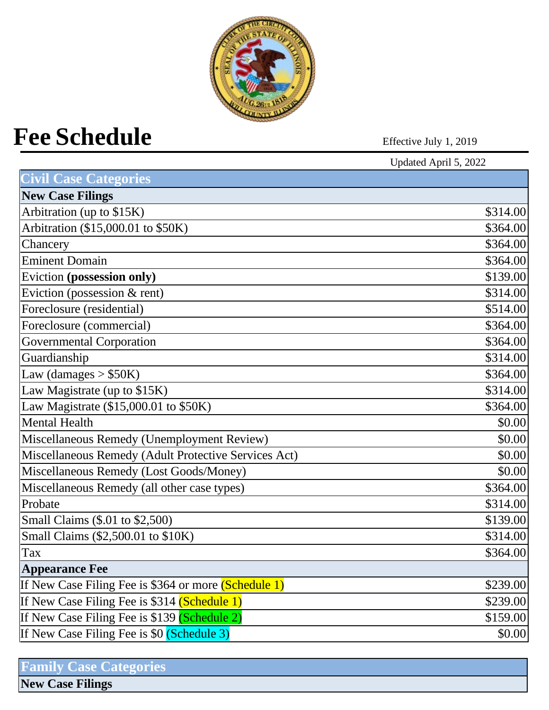

# Fee Schedule<br>
Effective July 1, 2019

|                                                      | Updated April 5, 2022 |
|------------------------------------------------------|-----------------------|
| <b>Civil Case Categories</b>                         |                       |
| <b>New Case Filings</b>                              |                       |
| Arbitration (up to \$15K)                            | \$314.00              |
| Arbitration (\$15,000.01 to \$50K)                   | \$364.00              |
| Chancery                                             | \$364.00              |
| <b>Eminent Domain</b>                                | \$364.00              |
| Eviction (possession only)                           | \$139.00              |
| Eviction (possession $&$ rent)                       | \$314.00              |
| Foreclosure (residential)                            | \$514.00              |
| Foreclosure (commercial)                             | \$364.00              |
| <b>Governmental Corporation</b>                      | \$364.00              |
| Guardianship                                         | \$314.00              |
| Law (damages $> $50K$ )                              | \$364.00              |
| Law Magistrate (up to \$15K)                         | \$314.00              |
| Law Magistrate (\$15,000.01 to \$50K)                | \$364.00              |
| <b>Mental Health</b>                                 | \$0.00                |
| Miscellaneous Remedy (Unemployment Review)           | \$0.00                |
| Miscellaneous Remedy (Adult Protective Services Act) | \$0.00                |
| Miscellaneous Remedy (Lost Goods/Money)              | \$0.00                |
| Miscellaneous Remedy (all other case types)          | \$364.00              |
| Probate                                              | \$314.00              |
| Small Claims (\$.01 to \$2,500)                      | \$139.00              |
| Small Claims (\$2,500.01 to \$10K)                   | \$314.00              |
| Tax                                                  | \$364.00              |
| <b>Appearance Fee</b>                                |                       |
| If New Case Filing Fee is \$364 or more (Schedule 1) | \$239.00              |
| If New Case Filing Fee is \$314 (Schedule 1)         | \$239.00              |
| If New Case Filing Fee is \$139 (Schedule 2)         | \$159.00              |
| If New Case Filing Fee is \$0 (Schedule 3)           | \$0.00                |
|                                                      |                       |

| <b>Family Case Categories</b> |  |
|-------------------------------|--|
| <b>New Case Filings</b>       |  |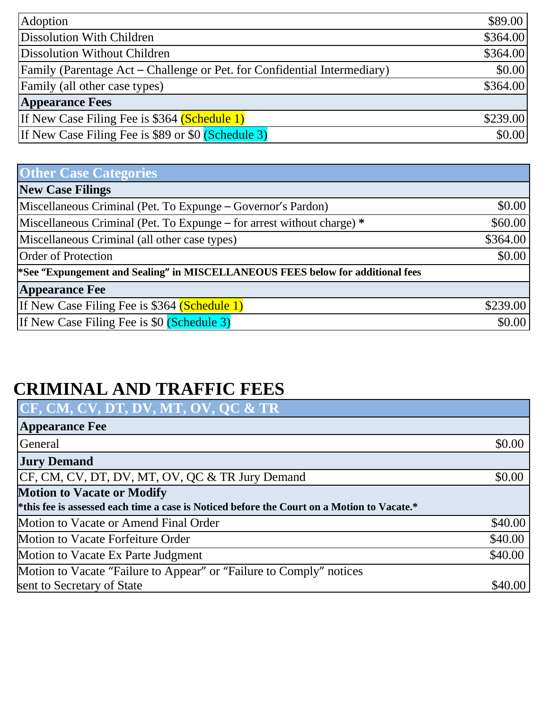| Adoption                                                                 | \$89.00  |
|--------------------------------------------------------------------------|----------|
| Dissolution With Children                                                | \$364.00 |
| Dissolution Without Children                                             | \$364.00 |
| Family (Parentage Act – Challenge or Pet. for Confidential Intermediary) | \$0.00   |
| Family (all other case types)                                            | \$364.00 |
| <b>Appearance Fees</b>                                                   |          |
| If New Case Filing Fee is \$364 (Schedule 1)                             | \$239.00 |
| If New Case Filing Fee is \$89 or \$0 (Schedule 3)                       | \$0.00   |

| <b>Other Case Categories</b>                                                               |          |
|--------------------------------------------------------------------------------------------|----------|
| <b>New Case Filings</b>                                                                    |          |
| Miscellaneous Criminal (Pet. To Expunge – Governor's Pardon)                               | \$0.00   |
| Miscellaneous Criminal (Pet. To Expunge – for arrest without charge) *                     | \$60.00  |
| Miscellaneous Criminal (all other case types)                                              | \$364.00 |
| <b>Order of Protection</b>                                                                 | \$0.00   |
| <sup>*</sup> See "Expungement and Sealing" in MISCELLANEOUS FEES below for additional fees |          |
| <b>Appearance Fee</b>                                                                      |          |
| If New Case Filing Fee is \$364 (Schedule 1)                                               | \$239.00 |
| If New Case Filing Fee is \$0 (Schedule 3)                                                 | \$0.00   |

## **CRIMINAL AND TRAFFIC FEES**

| CF, CM, CV, DT, DV, MT, OV, QC & TR                                                        |         |
|--------------------------------------------------------------------------------------------|---------|
| <b>Appearance Fee</b>                                                                      |         |
| General                                                                                    | \$0.00  |
| <b>Jury Demand</b>                                                                         |         |
| CF, CM, CV, DT, DV, MT, OV, QC & TR Jury Demand                                            | \$0.00  |
| <b>Motion to Vacate or Modify</b>                                                          |         |
| *this fee is assessed each time a case is Noticed before the Court on a Motion to Vacate.* |         |
| Motion to Vacate or Amend Final Order                                                      | \$40.00 |
| Motion to Vacate Forfeiture Order                                                          | \$40.00 |
| Motion to Vacate Ex Parte Judgment                                                         | \$40.00 |
| Motion to Vacate "Failure to Appear" or "Failure to Comply" notices                        |         |
| sent to Secretary of State                                                                 | \$40.00 |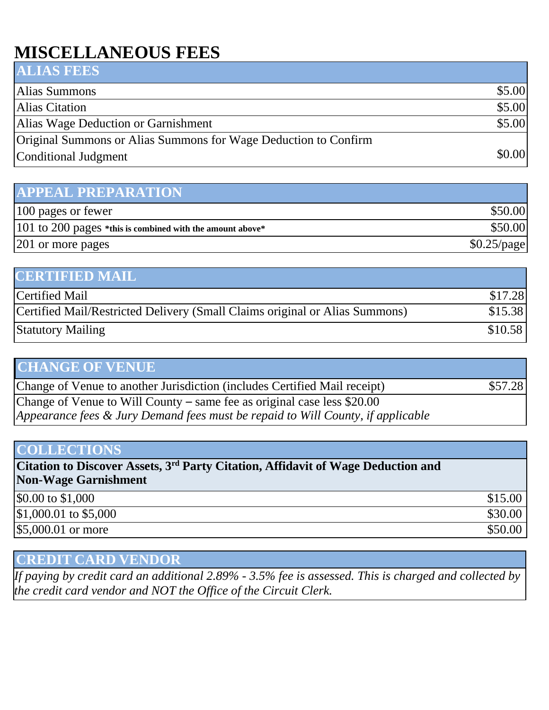## **MISCELLANEOUS FEES**

| <b>ALIAS FEES</b>                                               |        |
|-----------------------------------------------------------------|--------|
| Alias Summons                                                   | \$5.00 |
| Alias Citation                                                  | \$5.00 |
| Alias Wage Deduction or Garnishment                             | \$5.00 |
| Original Summons or Alias Summons for Wage Deduction to Confirm |        |
| Conditional Judgment                                            | \$0.00 |

### **APPEAL PREPARATION**

| 100 pages or fewer                                           | \$50.00       |
|--------------------------------------------------------------|---------------|
| $ 101$ to 200 pages *this is combined with the amount above* | \$50.00       |
| 201 or more pages                                            | $$0.25$ /page |

| <b>CERTIFIED MAIL</b>                                                       |         |
|-----------------------------------------------------------------------------|---------|
| <b>Certified Mail</b>                                                       | \$17.28 |
| Certified Mail/Restricted Delivery (Small Claims original or Alias Summons) | \$15.38 |
| <b>Statutory Mailing</b>                                                    | \$10.58 |

| <b>CHANGE OF VENUE</b>                                                                                                                                     |         |
|------------------------------------------------------------------------------------------------------------------------------------------------------------|---------|
| Change of Venue to another Jurisdiction (includes Certified Mail receipt)                                                                                  | \$57.28 |
| Change of Venue to Will County – same fee as original case less \$20.00<br>Appearance fees & Jury Demand fees must be repaid to Will County, if applicable |         |

#### **COLLECTIONS**

**Citation to Discover Assets, 3rd Party Citation, Affidavit of Wage Deduction and Non-Wage Garnishment**

| \$0.00 to \$1,000      | \$15.00 |
|------------------------|---------|
| $$1,000.01$ to \$5,000 | \$30.00 |
| \$5,000.01 or more     | \$50.00 |
|                        |         |

### **CREDIT CARD VENDOR**

*If paying by credit card an additional 2.89% - 3.5% fee is assessed. This is charged and collected by the credit card vendor and NOT the Office of the Circuit Clerk.*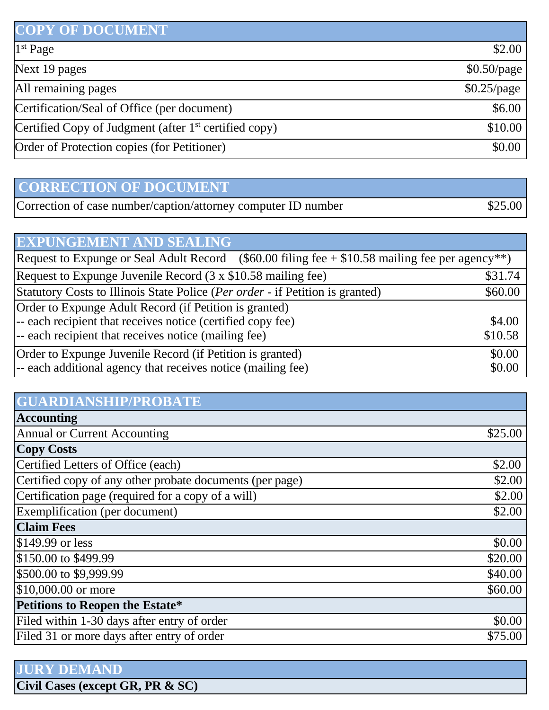| <b>COPY OF DOCUMENT</b>                                 |               |
|---------------------------------------------------------|---------------|
| 1 <sup>st</sup> Page                                    | \$2.00        |
| Next 19 pages                                           | $$0.50$ /page |
| All remaining pages                                     | $$0.25$ /page |
| Certification/Seal of Office (per document)             | \$6.00        |
| Certified Copy of Judgment (after $1st$ certified copy) | \$10.00       |
| Order of Protection copies (for Petitioner)             | \$0.00        |

# **CORRECTION OF DOCUMENT**

| Correction of case number/caption/attorney computer ID number | \$25.00 |
|---------------------------------------------------------------|---------|
|---------------------------------------------------------------|---------|

| <b>EXPUNGEMENT AND SEALING</b>                                                                                                                                                |                   |
|-------------------------------------------------------------------------------------------------------------------------------------------------------------------------------|-------------------|
| Request to Expunge or Seal Adult Record (\$60.00 filing fee $+$ \$10.58 mailing fee per agency <sup>**</sup> )                                                                |                   |
| Request to Expunge Juvenile Record (3 x \$10.58 mailing fee)                                                                                                                  | \$31.74           |
| Statutory Costs to Illinois State Police (Per order - if Petition is granted)                                                                                                 | \$60.00           |
| Order to Expunge Adult Record (if Petition is granted)<br>-- each recipient that receives notice (certified copy fee)<br>-- each recipient that receives notice (mailing fee) | \$4.00<br>\$10.58 |
| Order to Expunge Juvenile Record (if Petition is granted)<br>-- each additional agency that receives notice (mailing fee)                                                     | \$0.00<br>\$0.00  |

| <b>GUARDIANSHIP/PROBATE</b>                              |         |
|----------------------------------------------------------|---------|
| <b>Accounting</b>                                        |         |
| <b>Annual or Current Accounting</b>                      | \$25.00 |
| <b>Copy Costs</b>                                        |         |
| Certified Letters of Office (each)                       | \$2.00  |
| Certified copy of any other probate documents (per page) | \$2.00  |
| Certification page (required for a copy of a will)       | \$2.00  |
| Exemplification (per document)                           | \$2.00  |
| <b>Claim Fees</b>                                        |         |
| \$149.99 or less                                         | \$0.00  |
| \$150.00 to \$499.99                                     | \$20.00 |
| \$500.00 to \$9,999.99                                   | \$40.00 |
| \$10,000.00 or more                                      | \$60.00 |
| Petitions to Reopen the Estate*                          |         |
| Filed within 1-30 days after entry of order              | \$0.00  |
| Filed 31 or more days after entry of order               | \$75.00 |

| <b>JURY DEMAND</b>               |
|----------------------------------|
| Civil Cases (except GR, PR & SC) |